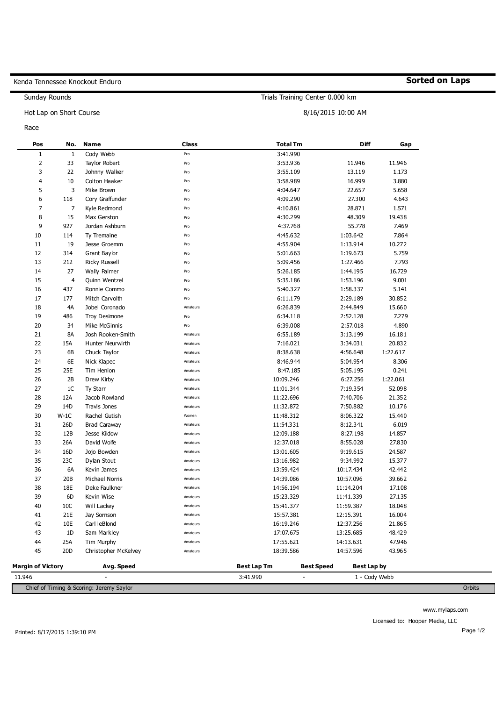## Kenda Tennessee Knockout Enduro

Sunday Rounds

Hot Lap on Short Course

Race

| Pos                      | No.             | Name                  | Class    | <b>Total Tm</b>    |                   | <b>Diff</b>   | Gap      |
|--------------------------|-----------------|-----------------------|----------|--------------------|-------------------|---------------|----------|
| $\mathbf{1}$             | 1               | Cody Webb             | Pro      | 3:41.990           |                   |               |          |
| $\overline{2}$           | 33              | Taylor Robert         | Pro      | 3:53.936           |                   | 11.946        | 11.946   |
| 3                        | 22              | Johnny Walker         | Pro      | 3:55.109           |                   | 13.119        | 1.173    |
| 4                        | 10              | Colton Haaker         | Pro      | 3:58.989           |                   | 16.999        | 3.880    |
| 5                        | 3               | Mike Brown            | Pro      | 4:04.647           |                   | 22.657        | 5.658    |
| 6                        | 118             | Cory Graffunder       | Pro      | 4:09.290           |                   | 27.300        | 4.643    |
| 7                        | $\overline{7}$  | Kyle Redmond          | Pro      | 4:10.861           |                   | 28.871        | 1.571    |
| 8                        | 15              | Max Gerston           | Pro      | 4:30.299           |                   | 48.309        | 19.438   |
| 9                        | 927             | Jordan Ashburn        | Pro      | 4:37.768           |                   | 55.778        | 7.469    |
| 10                       | 114             | Ty Tremaine           | Pro      | 4:45.632           |                   | 1:03.642      | 7.864    |
| 11                       | 19              | Jesse Groemm          | Pro      | 4:55.904           |                   | 1:13.914      | 10.272   |
| 12                       | 314             | Grant Baylor          | Pro      | 5:01.663           |                   | 1:19.673      | 5.759    |
| 13                       | 212             | <b>Ricky Russell</b>  | Pro      | 5:09.456           |                   | 1:27.466      | 7.793    |
| 14                       | 27              | Wally Palmer          | Pro      | 5:26.185           |                   | 1:44.195      | 16.729   |
| 15                       | $\overline{4}$  | Quinn Wentzel         | Pro      | 5:35.186           |                   | 1:53.196      | 9.001    |
| 16                       | 437             | Ronnie Commo          | Pro      | 5:40.327           |                   | 1:58.337      | 5.141    |
| 17                       | 177             | Mitch Carvolth        | Pro      | 6:11.179           |                   | 2:29.189      | 30.852   |
| 18                       | 4A              | Jobel Coronado        | Amateurs | 6:26.839           |                   | 2:44.849      | 15.660   |
| 19                       | 486             | <b>Troy Desimone</b>  | Pro      | 6:34.118           |                   | 2:52.128      | 7.279    |
| 20                       | 34              | Mike McGinnis         | Pro      | 6:39.008           |                   | 2:57.018      | 4.890    |
| 21                       | 8A              | Josh Rooken-Smith     | Amateurs | 6:55.189           |                   | 3:13.199      | 16.181   |
| 22                       | 15A             | Hunter Neurwirth      | Amateurs | 7:16.021           |                   | 3:34.031      | 20.832   |
| 23                       | 6B              | Chuck Taylor          | Amateurs | 8:38.638           |                   | 4:56.648      | 1:22.617 |
| 24                       | 6E              | Nick Klapec           | Amateurs | 8:46.944           |                   | 5:04.954      | 8.306    |
| 25                       | 25E             | Tim Henion            | Amateurs | 8:47.185           |                   | 5:05.195      | 0.241    |
| 26                       | 2B              | Drew Kirby            | Amateurs | 10:09.246          |                   | 6:27.256      | 1:22.061 |
| 27                       | 1C              | Ty Starr              | Amateurs | 11:01.344          |                   | 7:19.354      | 52.098   |
| 28                       | 12A             | Jacob Rowland         | Amateurs | 11:22.696          |                   | 7:40.706      | 21.352   |
| 29                       | 14D             | <b>Travis Jones</b>   | Amateurs | 11:32.872          |                   | 7:50.882      | 10.176   |
| 30                       | $W-1C$          | Rachel Gutish         | Women    | 11:48.312          |                   | 8:06.322      | 15.440   |
| 31                       | 26D             | <b>Brad Caraway</b>   | Amateurs | 11:54.331          |                   | 8:12.341      | 6.019    |
| 32                       | 12B             | Jesse Kildow          | Amateurs | 12:09.188          |                   | 8:27.198      | 14.857   |
| 33                       | 26A             | David Wolfe           | Amateurs | 12:37.018          |                   | 8:55.028      | 27.830   |
| 34                       | 16D             | Jojo Bowden           | Amateurs | 13:01.605          |                   | 9:19.615      | 24.587   |
| 35                       | 23C             | Dylan Stout           | Amateurs | 13:16.982          |                   | 9:34.992      | 15.377   |
| 36                       | 6A              | Kevin James           | Amateurs | 13:59.424          |                   | 10:17.434     | 42.442   |
| 37                       | 20B             | <b>Michael Norris</b> | Amateurs | 14:39.086          |                   | 10:57.096     | 39.662   |
| 38                       | 18E             | Deke Faulkner         | Amateurs | 14:56.194          |                   | 11:14.204     | 17.108   |
| 39                       | 6D              | Kevin Wise            | Amateurs | 15:23.329          |                   | 11:41.339     | 27.135   |
| 40                       | 10C             | Will Lackey           | Amateurs | 15:41.377          |                   | 11:59.387     | 18.048   |
| 41                       | 21E             | Jay Sornson           | Amateurs | 15:57.381          |                   | 12:15.391     | 16.004   |
| 42                       | 10E             | Carl leBlond          | Amateurs | 16:19.246          |                   | 12:37.256     | 21.865   |
| 43                       | 1D              | Sam Markley           | Amateurs | 17:07.675          |                   | 13:25.685     | 48.429   |
| 44                       | 25A             | Tim Murphy            | Amateurs | 17:55.621          |                   | 14:13.631     | 47.946   |
| 45                       | 20 <sub>D</sub> | Christopher McKelvey  | Amateurs | 18:39.586          |                   | 14:57.596     | 43.965   |
| <b>Margin of Victory</b> |                 | Avg. Speed            |          | <b>Best Lap Tm</b> | <b>Best Speed</b> | Best Lap by   |          |
| 11.946                   |                 |                       |          | 3:41.990           |                   | 1 - Cody Webb |          |

Chief of Timing & Scoring: Jeremy Saylor Orbits

Trials Training Center 0.000 km

8/16/2015 10:00 AM

**Sorted on Laps**

www.mylaps.com

Licensed to: Hooper Media, LLC